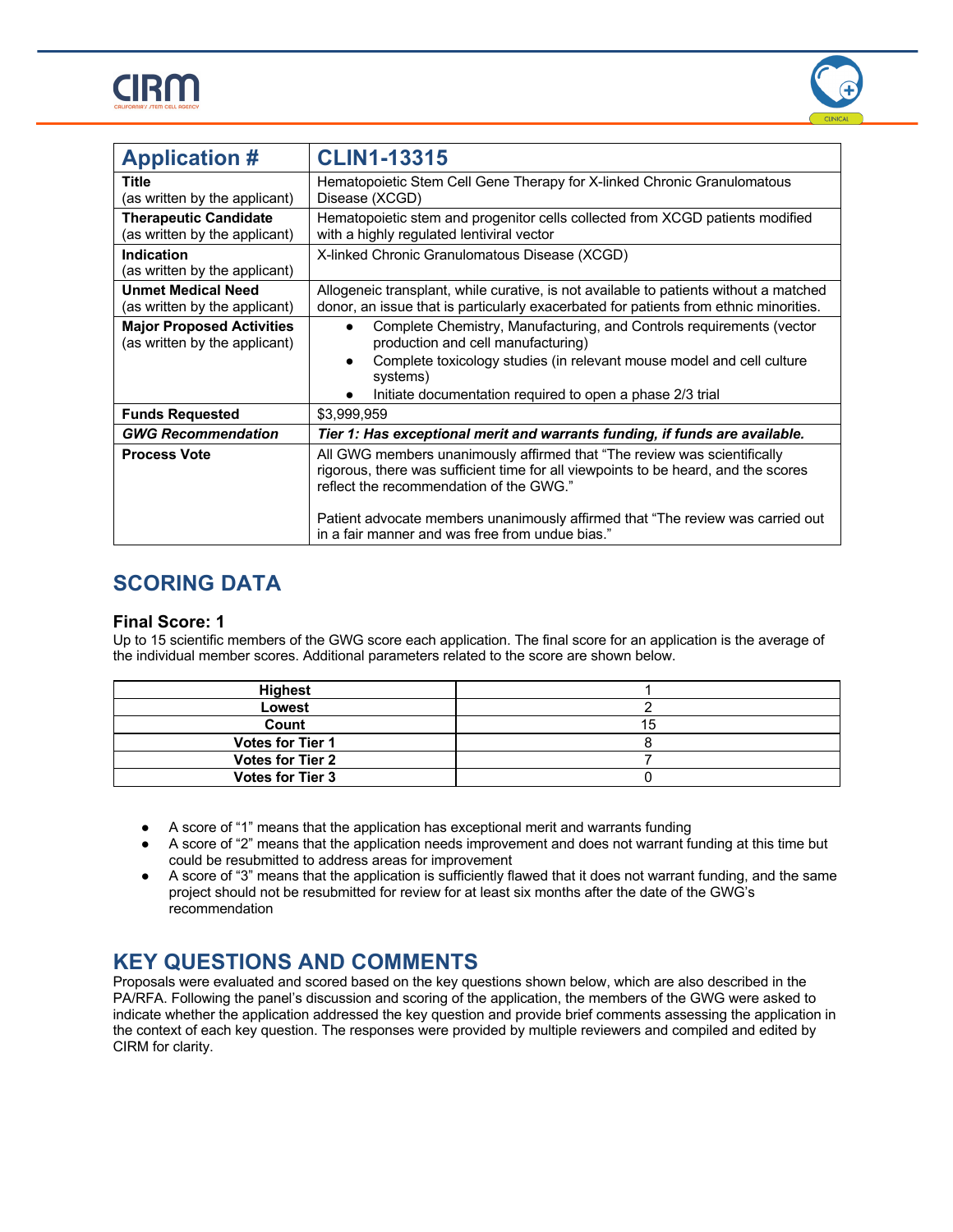



| <b>Application #</b>                                              | <b>CLIN1-13315</b>                                                                                                                                                                                                                                                                                                                             |  |
|-------------------------------------------------------------------|------------------------------------------------------------------------------------------------------------------------------------------------------------------------------------------------------------------------------------------------------------------------------------------------------------------------------------------------|--|
| Title<br>(as written by the applicant)                            | Hematopoietic Stem Cell Gene Therapy for X-linked Chronic Granulomatous<br>Disease (XCGD)                                                                                                                                                                                                                                                      |  |
| <b>Therapeutic Candidate</b><br>(as written by the applicant)     | Hematopoietic stem and progenitor cells collected from XCGD patients modified<br>with a highly regulated lentiviral vector                                                                                                                                                                                                                     |  |
| <b>Indication</b><br>(as written by the applicant)                | X-linked Chronic Granulomatous Disease (XCGD)                                                                                                                                                                                                                                                                                                  |  |
| <b>Unmet Medical Need</b><br>(as written by the applicant)        | Allogeneic transplant, while curative, is not available to patients without a matched<br>donor, an issue that is particularly exacerbated for patients from ethnic minorities.                                                                                                                                                                 |  |
| <b>Major Proposed Activities</b><br>(as written by the applicant) | Complete Chemistry, Manufacturing, and Controls requirements (vector<br>$\bullet$<br>production and cell manufacturing)<br>Complete toxicology studies (in relevant mouse model and cell culture<br>systems)<br>Initiate documentation required to open a phase 2/3 trial                                                                      |  |
| <b>Funds Requested</b>                                            | \$3,999,959                                                                                                                                                                                                                                                                                                                                    |  |
| <b>GWG Recommendation</b>                                         | Tier 1: Has exceptional merit and warrants funding, if funds are available.                                                                                                                                                                                                                                                                    |  |
| <b>Process Vote</b>                                               | All GWG members unanimously affirmed that "The review was scientifically<br>rigorous, there was sufficient time for all viewpoints to be heard, and the scores<br>reflect the recommendation of the GWG."<br>Patient advocate members unanimously affirmed that "The review was carried out<br>in a fair manner and was free from undue bias." |  |

## **SCORING DATA**

#### **Final Score: 1**

Up to 15 scientific members of the GWG score each application. The final score for an application is the average of the individual member scores. Additional parameters related to the score are shown below.

| <b>Highest</b>          |    |
|-------------------------|----|
| Lowest                  |    |
| Count                   | 15 |
| <b>Votes for Tier 1</b> |    |
| <b>Votes for Tier 2</b> |    |
| <b>Votes for Tier 3</b> |    |

- A score of "1" means that the application has exceptional merit and warrants funding
- A score of "2" means that the application needs improvement and does not warrant funding at this time but could be resubmitted to address areas for improvement
- A score of "3" means that the application is sufficiently flawed that it does not warrant funding, and the same project should not be resubmitted for review for at least six months after the date of the GWG's recommendation

### **KEY QUESTIONS AND COMMENTS**

Proposals were evaluated and scored based on the key questions shown below, which are also described in the PA/RFA. Following the panel's discussion and scoring of the application, the members of the GWG were asked to indicate whether the application addressed the key question and provide brief comments assessing the application in the context of each key question. The responses were provided by multiple reviewers and compiled and edited by CIRM for clarity.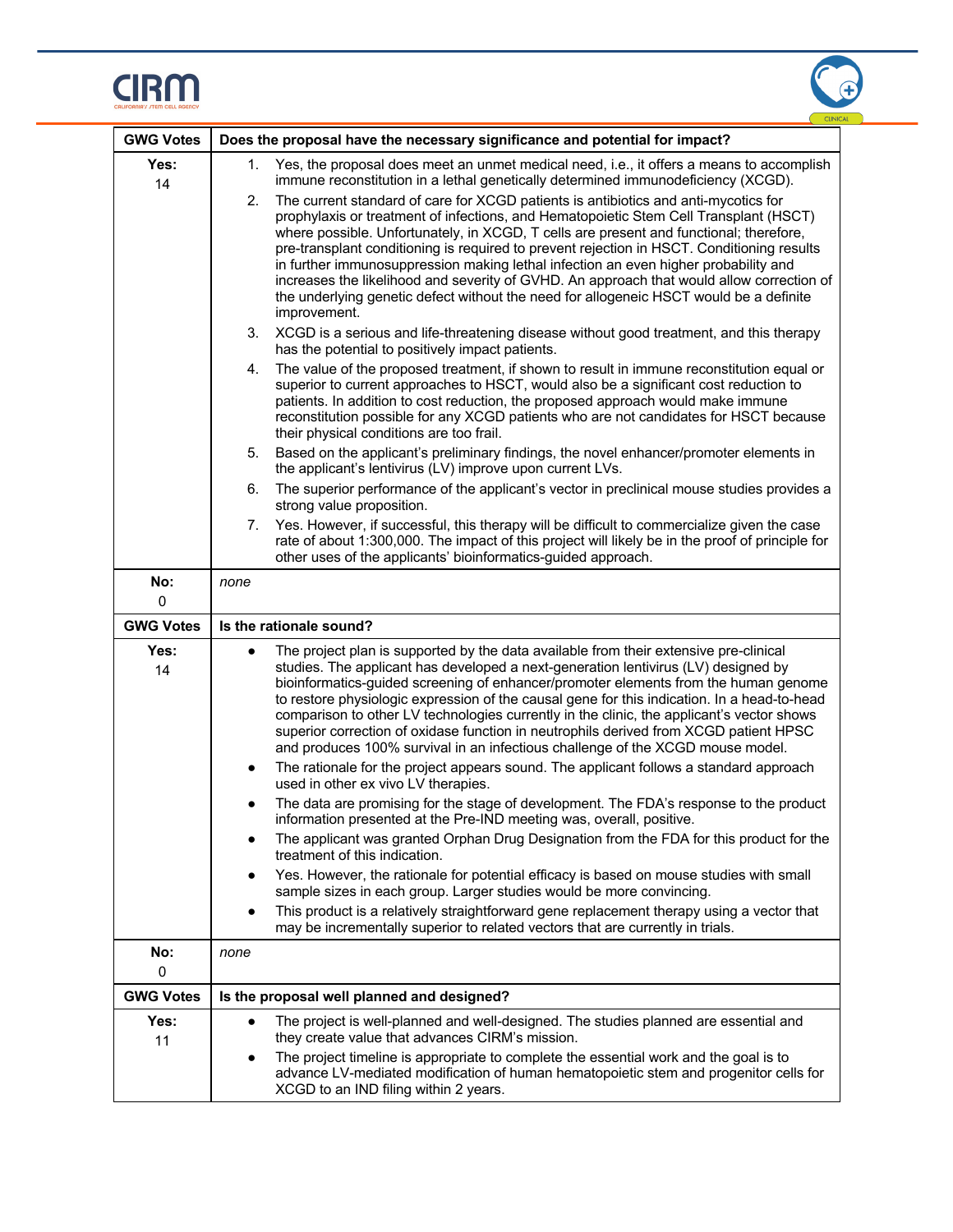



| <b>GWG Votes</b>               | Does the proposal have the necessary significance and potential for impact?                                                                                                                                                                                                                                                                                                                                                                                                                                                                                                                                                                                                                                                                                                                                                                                                                                                                                                                                                                                                                                                                                                                                                                                                                                                                                                                                                                               |  |  |
|--------------------------------|-----------------------------------------------------------------------------------------------------------------------------------------------------------------------------------------------------------------------------------------------------------------------------------------------------------------------------------------------------------------------------------------------------------------------------------------------------------------------------------------------------------------------------------------------------------------------------------------------------------------------------------------------------------------------------------------------------------------------------------------------------------------------------------------------------------------------------------------------------------------------------------------------------------------------------------------------------------------------------------------------------------------------------------------------------------------------------------------------------------------------------------------------------------------------------------------------------------------------------------------------------------------------------------------------------------------------------------------------------------------------------------------------------------------------------------------------------------|--|--|
|                                |                                                                                                                                                                                                                                                                                                                                                                                                                                                                                                                                                                                                                                                                                                                                                                                                                                                                                                                                                                                                                                                                                                                                                                                                                                                                                                                                                                                                                                                           |  |  |
| Yes:<br>14                     | Yes, the proposal does meet an unmet medical need, i.e., it offers a means to accomplish<br>1.<br>immune reconstitution in a lethal genetically determined immunodeficiency (XCGD).                                                                                                                                                                                                                                                                                                                                                                                                                                                                                                                                                                                                                                                                                                                                                                                                                                                                                                                                                                                                                                                                                                                                                                                                                                                                       |  |  |
|                                | The current standard of care for XCGD patients is antibiotics and anti-mycotics for<br>2.<br>prophylaxis or treatment of infections, and Hematopoietic Stem Cell Transplant (HSCT)<br>where possible. Unfortunately, in XCGD, T cells are present and functional; therefore,<br>pre-transplant conditioning is required to prevent rejection in HSCT. Conditioning results<br>in further immunosuppression making lethal infection an even higher probability and<br>increases the likelihood and severity of GVHD. An approach that would allow correction of<br>the underlying genetic defect without the need for allogeneic HSCT would be a definite<br>improvement.                                                                                                                                                                                                                                                                                                                                                                                                                                                                                                                                                                                                                                                                                                                                                                                  |  |  |
|                                | 3.<br>XCGD is a serious and life-threatening disease without good treatment, and this therapy<br>has the potential to positively impact patients.                                                                                                                                                                                                                                                                                                                                                                                                                                                                                                                                                                                                                                                                                                                                                                                                                                                                                                                                                                                                                                                                                                                                                                                                                                                                                                         |  |  |
|                                | The value of the proposed treatment, if shown to result in immune reconstitution equal or<br>4.<br>superior to current approaches to HSCT, would also be a significant cost reduction to<br>patients. In addition to cost reduction, the proposed approach would make immune<br>reconstitution possible for any XCGD patients who are not candidates for HSCT because<br>their physical conditions are too frail.                                                                                                                                                                                                                                                                                                                                                                                                                                                                                                                                                                                                                                                                                                                                                                                                                                                                                                                                                                                                                                         |  |  |
|                                | Based on the applicant's preliminary findings, the novel enhancer/promoter elements in<br>5.<br>the applicant's lentivirus (LV) improve upon current LVs.                                                                                                                                                                                                                                                                                                                                                                                                                                                                                                                                                                                                                                                                                                                                                                                                                                                                                                                                                                                                                                                                                                                                                                                                                                                                                                 |  |  |
|                                | The superior performance of the applicant's vector in preclinical mouse studies provides a<br>6.<br>strong value proposition.                                                                                                                                                                                                                                                                                                                                                                                                                                                                                                                                                                                                                                                                                                                                                                                                                                                                                                                                                                                                                                                                                                                                                                                                                                                                                                                             |  |  |
|                                | Yes. However, if successful, this therapy will be difficult to commercialize given the case<br>7.<br>rate of about 1:300,000. The impact of this project will likely be in the proof of principle for<br>other uses of the applicants' bioinformatics-guided approach.                                                                                                                                                                                                                                                                                                                                                                                                                                                                                                                                                                                                                                                                                                                                                                                                                                                                                                                                                                                                                                                                                                                                                                                    |  |  |
| No:<br>0                       | none                                                                                                                                                                                                                                                                                                                                                                                                                                                                                                                                                                                                                                                                                                                                                                                                                                                                                                                                                                                                                                                                                                                                                                                                                                                                                                                                                                                                                                                      |  |  |
|                                |                                                                                                                                                                                                                                                                                                                                                                                                                                                                                                                                                                                                                                                                                                                                                                                                                                                                                                                                                                                                                                                                                                                                                                                                                                                                                                                                                                                                                                                           |  |  |
| <b>GWG Votes</b>               | Is the rationale sound?                                                                                                                                                                                                                                                                                                                                                                                                                                                                                                                                                                                                                                                                                                                                                                                                                                                                                                                                                                                                                                                                                                                                                                                                                                                                                                                                                                                                                                   |  |  |
| Yes:<br>14                     | The project plan is supported by the data available from their extensive pre-clinical<br>$\bullet$<br>studies. The applicant has developed a next-generation lentivirus (LV) designed by<br>bioinformatics-guided screening of enhancer/promoter elements from the human genome<br>to restore physiologic expression of the causal gene for this indication. In a head-to-head<br>comparison to other LV technologies currently in the clinic, the applicant's vector shows<br>superior correction of oxidase function in neutrophils derived from XCGD patient HPSC<br>and produces 100% survival in an infectious challenge of the XCGD mouse model.<br>The rationale for the project appears sound. The applicant follows a standard approach<br>٠<br>used in other ex vivo LV therapies.<br>The data are promising for the stage of development. The FDA's response to the product<br>information presented at the Pre-IND meeting was, overall, positive.<br>The applicant was granted Orphan Drug Designation from the FDA for this product for the<br>$\bullet$<br>treatment of this indication.<br>Yes. However, the rationale for potential efficacy is based on mouse studies with small<br>sample sizes in each group. Larger studies would be more convincing.<br>This product is a relatively straightforward gene replacement therapy using a vector that<br>may be incrementally superior to related vectors that are currently in trials. |  |  |
| No:                            | none                                                                                                                                                                                                                                                                                                                                                                                                                                                                                                                                                                                                                                                                                                                                                                                                                                                                                                                                                                                                                                                                                                                                                                                                                                                                                                                                                                                                                                                      |  |  |
| 0                              |                                                                                                                                                                                                                                                                                                                                                                                                                                                                                                                                                                                                                                                                                                                                                                                                                                                                                                                                                                                                                                                                                                                                                                                                                                                                                                                                                                                                                                                           |  |  |
| <b>GWG Votes</b><br>Yes:<br>11 | Is the proposal well planned and designed?<br>The project is well-planned and well-designed. The studies planned are essential and<br>$\bullet$<br>they create value that advances CIRM's mission.                                                                                                                                                                                                                                                                                                                                                                                                                                                                                                                                                                                                                                                                                                                                                                                                                                                                                                                                                                                                                                                                                                                                                                                                                                                        |  |  |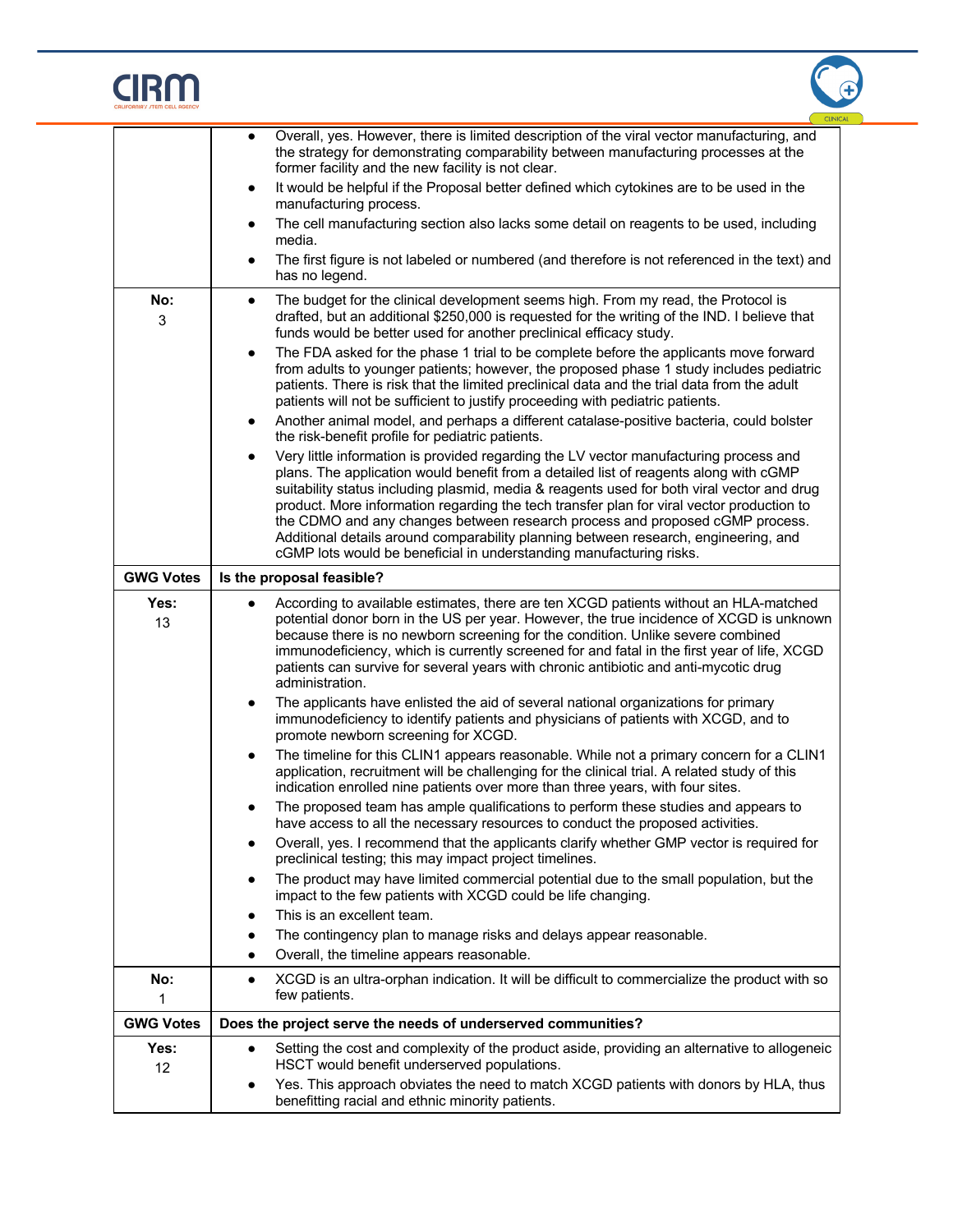# $CIRM$



|                  | <b>CUNICA</b>                                                                                                                                                                                                                                                                                                                                                                                                                                                                                                                                                                                                                                                                                                                                                                                                                                                                                                                                                                                                                                                                                                                                                                                                                                                                                                                                                                                                                                                                                                                                                                                                                                                                                                                                                                                                                                                                                                                                                                                                                                                                                           |  |
|------------------|---------------------------------------------------------------------------------------------------------------------------------------------------------------------------------------------------------------------------------------------------------------------------------------------------------------------------------------------------------------------------------------------------------------------------------------------------------------------------------------------------------------------------------------------------------------------------------------------------------------------------------------------------------------------------------------------------------------------------------------------------------------------------------------------------------------------------------------------------------------------------------------------------------------------------------------------------------------------------------------------------------------------------------------------------------------------------------------------------------------------------------------------------------------------------------------------------------------------------------------------------------------------------------------------------------------------------------------------------------------------------------------------------------------------------------------------------------------------------------------------------------------------------------------------------------------------------------------------------------------------------------------------------------------------------------------------------------------------------------------------------------------------------------------------------------------------------------------------------------------------------------------------------------------------------------------------------------------------------------------------------------------------------------------------------------------------------------------------------------|--|
| No:<br>3         | Overall, yes. However, there is limited description of the viral vector manufacturing, and<br>$\bullet$<br>the strategy for demonstrating comparability between manufacturing processes at the<br>former facility and the new facility is not clear.<br>It would be helpful if the Proposal better defined which cytokines are to be used in the<br>$\bullet$<br>manufacturing process.<br>The cell manufacturing section also lacks some detail on reagents to be used, including<br>$\bullet$<br>media.<br>The first figure is not labeled or numbered (and therefore is not referenced in the text) and<br>$\bullet$<br>has no legend.<br>The budget for the clinical development seems high. From my read, the Protocol is<br>$\bullet$<br>drafted, but an additional \$250,000 is requested for the writing of the IND. I believe that<br>funds would be better used for another preclinical efficacy study.<br>The FDA asked for the phase 1 trial to be complete before the applicants move forward<br>$\bullet$<br>from adults to younger patients; however, the proposed phase 1 study includes pediatric<br>patients. There is risk that the limited preclinical data and the trial data from the adult<br>patients will not be sufficient to justify proceeding with pediatric patients.<br>Another animal model, and perhaps a different catalase-positive bacteria, could bolster<br>$\bullet$<br>the risk-benefit profile for pediatric patients.<br>Very little information is provided regarding the LV vector manufacturing process and<br>$\bullet$<br>plans. The application would benefit from a detailed list of reagents along with cGMP<br>suitability status including plasmid, media & reagents used for both viral vector and drug<br>product. More information regarding the tech transfer plan for viral vector production to<br>the CDMO and any changes between research process and proposed cGMP process.<br>Additional details around comparability planning between research, engineering, and<br>cGMP lots would be beneficial in understanding manufacturing risks. |  |
| <b>GWG Votes</b> |                                                                                                                                                                                                                                                                                                                                                                                                                                                                                                                                                                                                                                                                                                                                                                                                                                                                                                                                                                                                                                                                                                                                                                                                                                                                                                                                                                                                                                                                                                                                                                                                                                                                                                                                                                                                                                                                                                                                                                                                                                                                                                         |  |
| Yes:<br>13       | Is the proposal feasible?<br>According to available estimates, there are ten XCGD patients without an HLA-matched<br>$\bullet$<br>potential donor born in the US per year. However, the true incidence of XCGD is unknown<br>because there is no newborn screening for the condition. Unlike severe combined<br>immunodeficiency, which is currently screened for and fatal in the first year of life, XCGD<br>patients can survive for several years with chronic antibiotic and anti-mycotic drug<br>administration.<br>The applicants have enlisted the aid of several national organizations for primary<br>$\bullet$<br>immunodeficiency to identify patients and physicians of patients with XCGD, and to<br>promote newborn screening for XCGD.<br>The timeline for this CLIN1 appears reasonable. While not a primary concern for a CLIN1<br>$\bullet$<br>application, recruitment will be challenging for the clinical trial. A related study of this<br>indication enrolled nine patients over more than three years, with four sites.<br>The proposed team has ample qualifications to perform these studies and appears to<br>have access to all the necessary resources to conduct the proposed activities.<br>Overall, yes. I recommend that the applicants clarify whether GMP vector is required for<br>$\bullet$<br>preclinical testing; this may impact project timelines.<br>The product may have limited commercial potential due to the small population, but the<br>impact to the few patients with XCGD could be life changing.<br>This is an excellent team.<br>The contingency plan to manage risks and delays appear reasonable.<br>Overall, the timeline appears reasonable.                                                                                                                                                                                                                                                                                                                                                                                                 |  |
| No:<br>1         | XCGD is an ultra-orphan indication. It will be difficult to commercialize the product with so<br>٠<br>few patients.                                                                                                                                                                                                                                                                                                                                                                                                                                                                                                                                                                                                                                                                                                                                                                                                                                                                                                                                                                                                                                                                                                                                                                                                                                                                                                                                                                                                                                                                                                                                                                                                                                                                                                                                                                                                                                                                                                                                                                                     |  |
| <b>GWG Votes</b> | Does the project serve the needs of underserved communities?                                                                                                                                                                                                                                                                                                                                                                                                                                                                                                                                                                                                                                                                                                                                                                                                                                                                                                                                                                                                                                                                                                                                                                                                                                                                                                                                                                                                                                                                                                                                                                                                                                                                                                                                                                                                                                                                                                                                                                                                                                            |  |
| Yes:<br>12       | Setting the cost and complexity of the product aside, providing an alternative to allogeneic<br>HSCT would benefit underserved populations.<br>Yes. This approach obviates the need to match XCGD patients with donors by HLA, thus<br>benefitting racial and ethnic minority patients.                                                                                                                                                                                                                                                                                                                                                                                                                                                                                                                                                                                                                                                                                                                                                                                                                                                                                                                                                                                                                                                                                                                                                                                                                                                                                                                                                                                                                                                                                                                                                                                                                                                                                                                                                                                                                 |  |